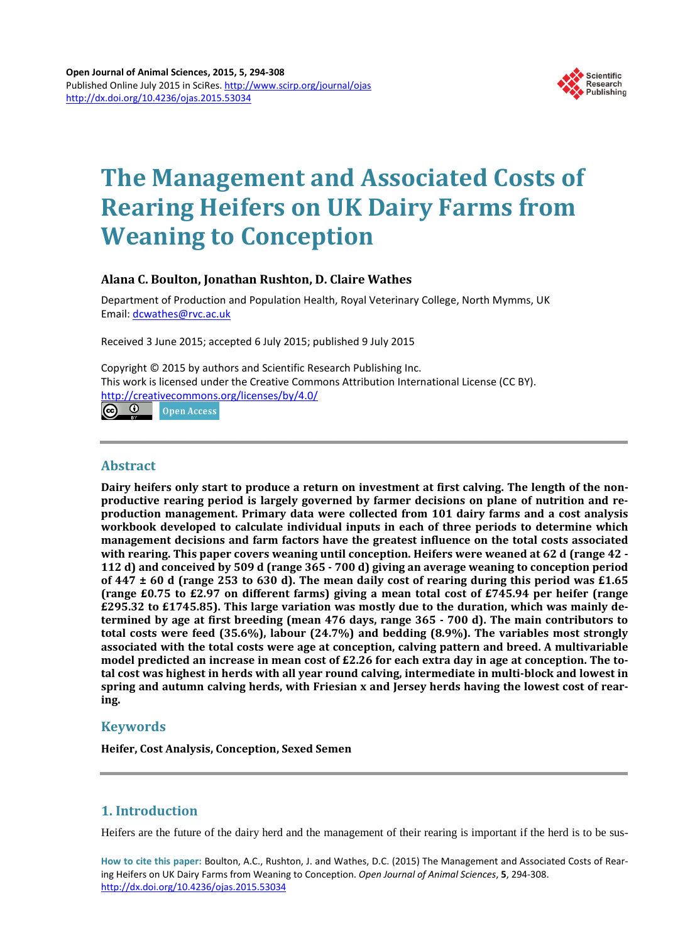

# **The Management and Associated Costs of Rearing Heifers on UK Dairy Farms from Weaning to Conception**

## **Alana C. Boulton, Jonathan Rushton, D. Claire Wathes**

Department of Production and Population Health, Royal Veterinary College, North Mymms, UK Email: [dcwathes@rvc.ac.uk](mailto:dcwathes@rvc.ac.uk)

Received 3 June 2015; accepted 6 July 2015; published 9 July 2015

Copyright © 2015 by authors and Scientific Research Publishing Inc. This work is licensed under the Creative Commons Attribution International License (CC BY). <http://creativecommons.org/licenses/by/4.0/>  $\odot$ **Open Access** (cc

**Abstract**

**Dairy heifers only start to produce a return on investment at first calving. The length of the nonproductive rearing period is largely governed by farmer decisions on plane of nutrition and reproduction management. Primary data were collected from 101 dairy farms and a cost analysis workbook developed to calculate individual inputs in each of three periods to determine which management decisions and farm factors have the greatest influence on the total costs associated with rearing. This paper covers weaning until conception. Heifers were weaned at 62 d (range 42 - 112 d) and conceived by 509 d (range 365 - 700 d) giving an average weaning to conception period of 447 ± 60 d (range 253 to 630 d). The mean daily cost of rearing during this period was £1.65 (range £0.75 to £2.97 on different farms) giving a mean total cost of £745.94 per heifer (range £295.32 to £1745.85). This large variation was mostly due to the duration, which was mainly determined by age at first breeding (mean 476 days, range 365 - 700 d). The main contributors to total costs were feed (35.6%), labour (24.7%) and bedding (8.9%). The variables most strongly associated with the total costs were age at conception, calving pattern and breed. A multivariable model predicted an increase in mean cost of £2.26 for each extra day in age at conception. The total cost was highest in herds with all year round calving, intermediate in multi-block and lowest in spring and autumn calving herds, with Friesian x and Jersey herds having the lowest cost of rearing.**

# **Keywords**

**Heifer, Cost Analysis, Conception, Sexed Semen**

# **1. Introduction**

Heifers are the future of the dairy herd and the management of their rearing is important if the herd is to be sus-

**How to cite this paper:** Boulton, A.C., Rushton, J. and Wathes, D.C. (2015) The Management and Associated Costs of Rearing Heifers on UK Dairy Farms from Weaning to Conception. *Open Journal of Animal Sciences*, **5**, 294-308. <http://dx.doi.org/10.4236/ojas.2015.53034>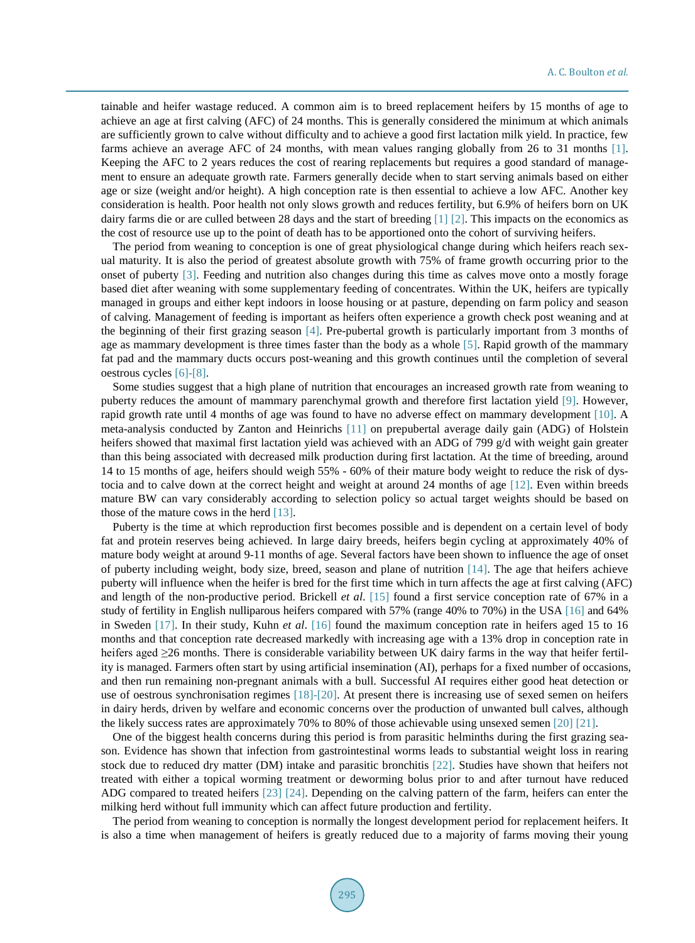tainable and heifer wastage reduced. A common aim is to breed replacement heifers by 15 months of age to achieve an age at first calving (AFC) of 24 months. This is generally considered the minimum at which animals are sufficiently grown to calve without difficulty and to achieve a good first lactation milk yield. In practice, few farms achieve an average AFC of 24 months, with mean values ranging globally from 26 to 31 months [\[1\].](#page-12-0) Keeping the AFC to 2 years reduces the cost of rearing replacements but requires a good standard of management to ensure an adequate growth rate. Farmers generally decide when to start serving animals based on either age or size (weight and/or height). A high conception rate is then essential to achieve a low AFC. Another key consideration is health. Poor health not only slows growth and reduces fertility, but 6.9% of heifers born on UK dairy farms die or are culled between 28 days and the start of breeding [\[1\]](#page-12-0) [\[2\].](#page-12-1) This impacts on the economics as the cost of resource use up to the point of death has to be apportioned onto the cohort of surviving heifers.

The period from weaning to conception is one of great physiological change during which heifers reach sexual maturity. It is also the period of greatest absolute growth with 75% of frame growth occurring prior to the onset of puberty [\[3\].](#page-12-2) Feeding and nutrition also changes during this time as calves move onto a mostly forage based diet after weaning with some supplementary feeding of concentrates. Within the UK, heifers are typically managed in groups and either kept indoors in loose housing or at pasture, depending on farm policy and season of calving. Management of feeding is important as heifers often experience a growth check post weaning and at the beginning of their first grazing season [\[4\].](#page-12-3) Pre-pubertal growth is particularly important from 3 months of age as mammary development is three times faster than the body as a whole [\[5\].](#page-12-4) Rapid growth of the mammary fat pad and the mammary ducts occurs post-weaning and this growth continues until the completion of several oestrous cycles [\[6\]-](#page-12-5)[\[8\].](#page-12-6)

Some studies suggest that a high plane of nutrition that encourages an increased growth rate from weaning to puberty reduces the amount of mammary parenchymal growth and therefore first lactation yield [\[9\].](#page-12-7) However, rapid growth rate until 4 months of age was found to have no adverse effect on mammary development [\[10\].](#page-12-8) A meta-analysis conducted by Zanton and Heinrichs [\[11\]](#page-12-9) on prepubertal average daily gain (ADG) of Holstein heifers showed that maximal first lactation yield was achieved with an ADG of 799 g/d with weight gain greater than this being associated with decreased milk production during first lactation. At the time of breeding, around 14 to 15 months of age, heifers should weigh 55% - 60% of their mature body weight to reduce the risk of dystocia and to calve down at the correct height and weight at around 24 months of age [\[12\].](#page-12-10) Even within breeds mature BW can vary considerably according to selection policy so actual target weights should be based on those of the mature cows in the herd [\[13\].](#page-12-11)

Puberty is the time at which reproduction first becomes possible and is dependent on a certain level of body fat and protein reserves being achieved. In large dairy breeds, heifers begin cycling at approximately 40% of mature body weight at around 9-11 months of age. Several factors have been shown to influence the age of onset of puberty including weight, body size, breed, season and plane of nutrition [\[14\].](#page-12-12) The age that heifers achieve puberty will influence when the heifer is bred for the first time which in turn affects the age at first calving (AFC) and length of the non-productive period. Brickell *et al*. [\[15\]](#page-12-13) found a first service conception rate of 67% in a study of fertility in English nulliparous heifers compared with 57% (range 40% to 70%) in the USA [\[16\]](#page-12-14) and 64% in Sweden [\[17\].](#page-12-15) In their study, Kuhn *et al*. [\[16\]](#page-12-14) found the maximum conception rate in heifers aged 15 to 16 months and that conception rate decreased markedly with increasing age with a 13% drop in conception rate in heifers aged ≥26 months. There is considerable variability between UK dairy farms in the way that heifer fertility is managed. Farmers often start by using artificial insemination (AI), perhaps for a fixed number of occasions, and then run remaining non-pregnant animals with a bull. Successful AI requires either good heat detection or use of oestrous synchronisation regimes [\[18\]-](#page-12-16)[\[20\].](#page-12-17) At present there is increasing use of sexed semen on heifers in dairy herds, driven by welfare and economic concerns over the production of unwanted bull calves, although the likely success rates are approximately 70% to 80% of those achievable using unsexed semen [\[20\]](#page-12-17) [\[21\].](#page-13-0)

One of the biggest health concerns during this period is from parasitic helminths during the first grazing season. Evidence has shown that infection from gastrointestinal worms leads to substantial weight loss in rearing stock due to reduced dry matter (DM) intake and parasitic bronchitis [\[22\].](#page-13-1) Studies have shown that heifers not treated with either a topical worming treatment or deworming bolus prior to and after turnout have reduced ADG compared to treated heifers [\[23\]](#page-13-2) [\[24\].](#page-13-3) Depending on the calving pattern of the farm, heifers can enter the milking herd without full immunity which can affect future production and fertility.

The period from weaning to conception is normally the longest development period for replacement heifers. It is also a time when management of heifers is greatly reduced due to a majority of farms moving their young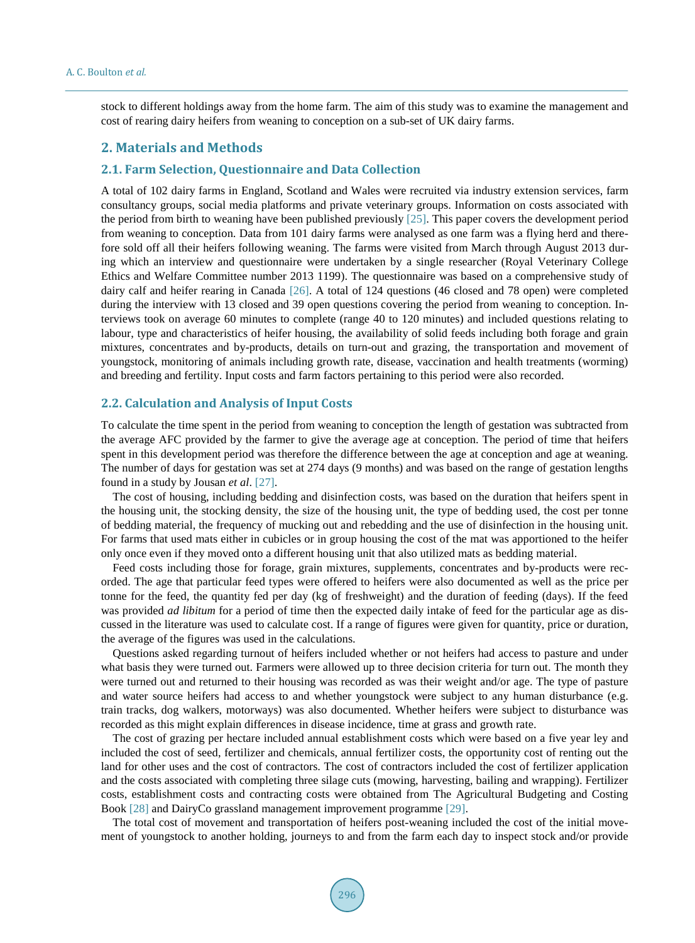stock to different holdings away from the home farm. The aim of this study was to examine the management and cost of rearing dairy heifers from weaning to conception on a sub-set of UK dairy farms.

## **2. Materials and Methods**

### **2.1. Farm Selection, Questionnaire and Data Collection**

A total of 102 dairy farms in England, Scotland and Wales were recruited via industry extension services, farm consultancy groups, social media platforms and private veterinary groups. Information on costs associated with the period from birth to weaning have been published previously [\[25\].](#page-13-4) This paper covers the development period from weaning to conception. Data from 101 dairy farms were analysed as one farm was a flying herd and therefore sold off all their heifers following weaning. The farms were visited from March through August 2013 during which an interview and questionnaire were undertaken by a single researcher (Royal Veterinary College Ethics and Welfare Committee number 2013 1199). The questionnaire was based on a comprehensive study of dairy calf and heifer rearing in Canada [\[26\].](#page-13-5) A total of 124 questions (46 closed and 78 open) were completed during the interview with 13 closed and 39 open questions covering the period from weaning to conception. Interviews took on average 60 minutes to complete (range 40 to 120 minutes) and included questions relating to labour, type and characteristics of heifer housing, the availability of solid feeds including both forage and grain mixtures, concentrates and by-products, details on turn-out and grazing, the transportation and movement of youngstock, monitoring of animals including growth rate, disease, vaccination and health treatments (worming) and breeding and fertility. Input costs and farm factors pertaining to this period were also recorded.

#### **2.2. Calculation and Analysis of Input Costs**

To calculate the time spent in the period from weaning to conception the length of gestation was subtracted from the average AFC provided by the farmer to give the average age at conception. The period of time that heifers spent in this development period was therefore the difference between the age at conception and age at weaning. The number of days for gestation was set at 274 days (9 months) and was based on the range of gestation lengths found in a study by Jousan *et al*. [\[27\].](#page-13-6)

The cost of housing, including bedding and disinfection costs, was based on the duration that heifers spent in the housing unit, the stocking density, the size of the housing unit, the type of bedding used, the cost per tonne of bedding material, the frequency of mucking out and rebedding and the use of disinfection in the housing unit. For farms that used mats either in cubicles or in group housing the cost of the mat was apportioned to the heifer only once even if they moved onto a different housing unit that also utilized mats as bedding material.

Feed costs including those for forage, grain mixtures, supplements, concentrates and by-products were recorded. The age that particular feed types were offered to heifers were also documented as well as the price per tonne for the feed, the quantity fed per day (kg of freshweight) and the duration of feeding (days). If the feed was provided *ad libitum* for a period of time then the expected daily intake of feed for the particular age as discussed in the literature was used to calculate cost. If a range of figures were given for quantity, price or duration, the average of the figures was used in the calculations.

Questions asked regarding turnout of heifers included whether or not heifers had access to pasture and under what basis they were turned out. Farmers were allowed up to three decision criteria for turn out. The month they were turned out and returned to their housing was recorded as was their weight and/or age. The type of pasture and water source heifers had access to and whether youngstock were subject to any human disturbance (e.g. train tracks, dog walkers, motorways) was also documented. Whether heifers were subject to disturbance was recorded as this might explain differences in disease incidence, time at grass and growth rate.

The cost of grazing per hectare included annual establishment costs which were based on a five year ley and included the cost of seed, fertilizer and chemicals, annual fertilizer costs, the opportunity cost of renting out the land for other uses and the cost of contractors. The cost of contractors included the cost of fertilizer application and the costs associated with completing three silage cuts (mowing, harvesting, bailing and wrapping). Fertilizer costs, establishment costs and contracting costs were obtained from The Agricultural Budgeting and Costing Book [\[28\]](#page-13-7) and DairyCo grassland management improvement programme [\[29\].](#page-13-8)

The total cost of movement and transportation of heifers post-weaning included the cost of the initial movement of youngstock to another holding, journeys to and from the farm each day to inspect stock and/or provide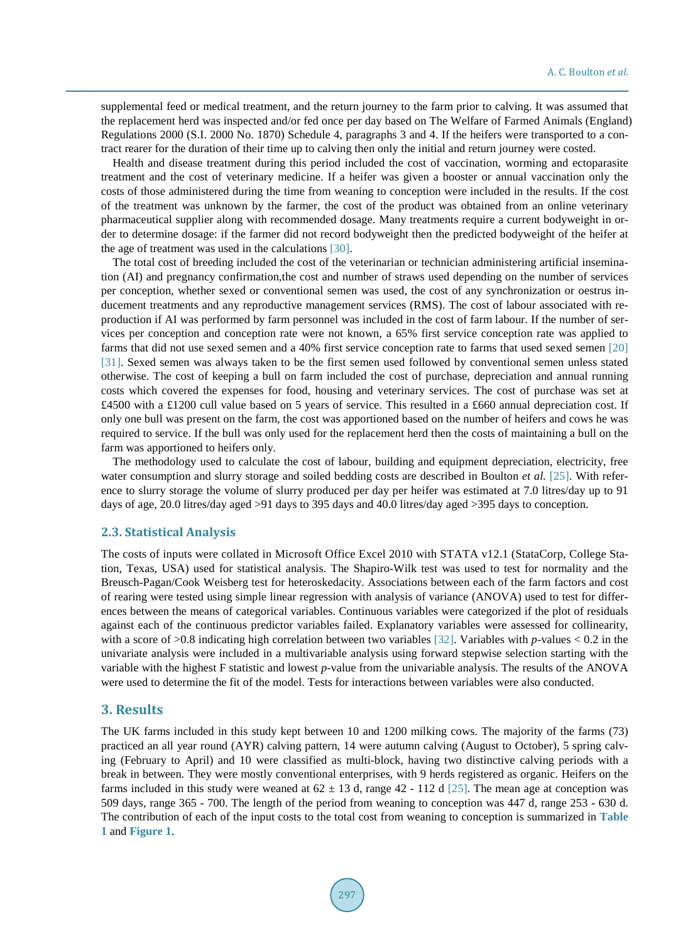supplemental feed or medical treatment, and the return journey to the farm prior to calving. It was assumed that the replacement herd was inspected and/or fed once per day based on The Welfare of Farmed Animals (England) Regulations 2000 (S.I. 2000 No. 1870) Schedule 4, paragraphs 3 and 4. If the heifers were transported to a contract rearer for the duration of their time up to calving then only the initial and return journey were costed.

Health and disease treatment during this period included the cost of vaccination, worming and ectoparasite treatment and the cost of veterinary medicine. If a heifer was given a booster or annual vaccination only the costs of those administered during the time from weaning to conception were included in the results. If the cost of the treatment was unknown by the farmer, the cost of the product was obtained from an online veterinary pharmaceutical supplier along with recommended dosage. Many treatments require a current bodyweight in order to determine dosage: if the farmer did not record bodyweight then the predicted bodyweight of the heifer at the age of treatment was used in the calculations [\[30\].](#page-13-9)

The total cost of breeding included the cost of the veterinarian or technician administering artificial insemination (AI) and pregnancy confirmation,the cost and number of straws used depending on the number of services per conception, whether sexed or conventional semen was used, the cost of any synchronization or oestrus inducement treatments and any reproductive management services (RMS). The cost of labour associated with reproduction if AI was performed by farm personnel was included in the cost of farm labour. If the number of services per conception and conception rate were not known, a 65% first service conception rate was applied to farms that did not use sexed semen and a 40% first service conception rate to farms that used sexed semen [\[20\]](#page-12-17) [\[31\].](#page-13-10) Sexed semen was always taken to be the first semen used followed by conventional semen unless stated otherwise. The cost of keeping a bull on farm included the cost of purchase, depreciation and annual running costs which covered the expenses for food, housing and veterinary services. The cost of purchase was set at £4500 with a £1200 cull value based on 5 years of service. This resulted in a £660 annual depreciation cost. If only one bull was present on the farm, the cost was apportioned based on the number of heifers and cows he was required to service. If the bull was only used for the replacement herd then the costs of maintaining a bull on the farm was apportioned to heifers only.

The methodology used to calculate the cost of labour, building and equipment depreciation, electricity, free water consumption and slurry storage and soiled bedding costs are described in Boulton *et al.* [\[25\].](#page-13-4) With reference to slurry storage the volume of slurry produced per day per heifer was estimated at 7.0 litres/day up to 91 days of age, 20.0 litres/day aged >91 days to 395 days and 40.0 litres/day aged >395 days to conception.

#### **2.3. Statistical Analysis**

The costs of inputs were collated in Microsoft Office Excel 2010 with STATA v12.1 (StataCorp, College Station, Texas, USA) used for statistical analysis. The Shapiro-Wilk test was used to test for normality and the Breusch-Pagan/Cook Weisberg test for heteroskedacity. Associations between each of the farm factors and cost of rearing were tested using simple linear regression with analysis of variance (ANOVA) used to test for differences between the means of categorical variables. Continuous variables were categorized if the plot of residuals against each of the continuous predictor variables failed. Explanatory variables were assessed for collinearity, with a score of  $>0.8$  indicating high correlation between two variables [\[32\].](#page-13-11) Variables with *p*-values < 0.2 in the univariate analysis were included in a multivariable analysis using forward stepwise selection starting with the variable with the highest F statistic and lowest *p*-value from the univariable analysis. The results of the ANOVA were used to determine the fit of the model. Tests for interactions between variables were also conducted.

#### **3. Results**

The UK farms included in this study kept between 10 and 1200 milking cows. The majority of the farms (73) practiced an all year round (AYR) calving pattern, 14 were autumn calving (August to October), 5 spring calving (February to April) and 10 were classified as multi-block, having two distinctive calving periods with a break in between. They were mostly conventional enterprises, with 9 herds registered as organic. Heifers on the farms included in this study were weaned at  $62 \pm 13$  d, range 42 - 112 d [\[25\].](#page-13-4) The mean age at conception was 509 days, range 365 - 700. The length of the period from weaning to conception was 447 d, range 253 - 630 d. The contribution of each of the input costs to the total cost from weaning to conception is summarized in **[Table](#page-4-0)  [1](#page-4-0)** and **[Figure 1](#page-4-1)**.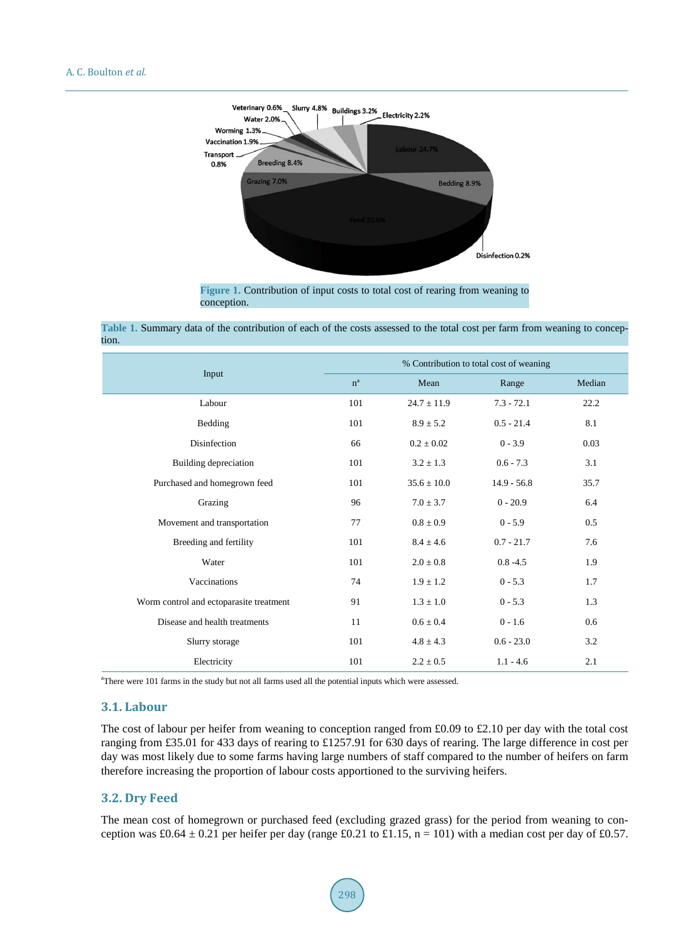<span id="page-4-1"></span>

**Figure 1.** Contribution of input costs to total cost of rearing from weaning to conception.

<span id="page-4-0"></span>

|                                         | % Contribution to total cost of weaning |                 |               |        |  |  |  |  |
|-----------------------------------------|-----------------------------------------|-----------------|---------------|--------|--|--|--|--|
| Input                                   | $n^a$                                   | Mean            | Range         | Median |  |  |  |  |
| Labour                                  | 101                                     | $24.7 \pm 11.9$ | $7.3 - 72.1$  | 22.2   |  |  |  |  |
| Bedding                                 | 101                                     | $8.9 \pm 5.2$   | $0.5 - 21.4$  | 8.1    |  |  |  |  |
| Disinfection                            | 66                                      | $0.2 \pm 0.02$  | $0 - 3.9$     | 0.03   |  |  |  |  |
| Building depreciation                   | 101                                     | $3.2 \pm 1.3$   | $0.6 - 7.3$   | 3.1    |  |  |  |  |
| Purchased and homegrown feed            | 101                                     | $35.6 \pm 10.0$ | $14.9 - 56.8$ | 35.7   |  |  |  |  |
| Grazing                                 | 96                                      | $7.0 \pm 3.7$   | $0 - 20.9$    | 6.4    |  |  |  |  |
| Movement and transportation             | 77                                      | $0.8 \pm 0.9$   | $0 - 5.9$     | 0.5    |  |  |  |  |
| Breeding and fertility                  | 101                                     | $8.4 \pm 4.6$   | $0.7 - 21.7$  | 7.6    |  |  |  |  |
| Water                                   | 101                                     | $2.0 \pm 0.8$   | $0.8 - 4.5$   | 1.9    |  |  |  |  |
| Vaccinations                            | 74                                      | $1.9 \pm 1.2$   | $0 - 5.3$     | 1.7    |  |  |  |  |
| Worm control and ectoparasite treatment | 91                                      | $1.3 \pm 1.0$   | $0 - 5.3$     | 1.3    |  |  |  |  |
| Disease and health treatments           | 11                                      | $0.6 \pm 0.4$   | $0 - 1.6$     | 0.6    |  |  |  |  |
| Slurry storage                          | 101                                     | $4.8 \pm 4.3$   | $0.6 - 23.0$  | 3.2    |  |  |  |  |
| Electricity                             | 101                                     | $2.2 \pm 0.5$   | $1.1 - 4.6$   | 2.1    |  |  |  |  |

<sup>a</sup>There were 101 farms in the study but not all farms used all the potential inputs which were assessed.

### **3.1. Labour**

The cost of labour per heifer from weaning to conception ranged from £0.09 to £2.10 per day with the total cost ranging from £35.01 for 433 days of rearing to £1257.91 for 630 days of rearing. The large difference in cost per day was most likely due to some farms having large numbers of staff compared to the number of heifers on farm therefore increasing the proportion of labour costs apportioned to the surviving heifers.

#### **3.2. Dry Feed**

The mean cost of homegrown or purchased feed (excluding grazed grass) for the period from weaning to conception was £0.64  $\pm$  0.21 per heifer per day (range £0.21 to £1.15, n = 101) with a median cost per day of £0.57.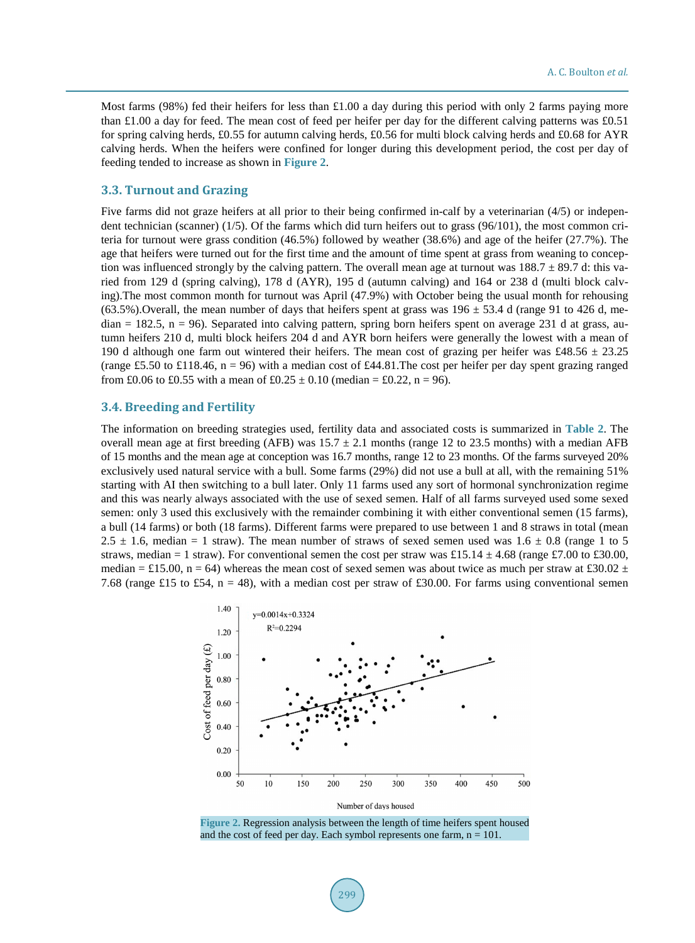Most farms (98%) fed their heifers for less than £1.00 a day during this period with only 2 farms paying more than £1.00 a day for feed. The mean cost of feed per heifer per day for the different calving patterns was £0.51 for spring calving herds, £0.55 for autumn calving herds, £0.56 for multi block calving herds and £0.68 for AYR calving herds. When the heifers were confined for longer during this development period, the cost per day of feeding tended to increase as shown in **[Figure 2](#page-5-0)**.

#### **3.3. Turnout and Grazing**

Five farms did not graze heifers at all prior to their being confirmed in-calf by a veterinarian (4/5) or independent technician (scanner) (1/5). Of the farms which did turn heifers out to grass (96/101), the most common criteria for turnout were grass condition (46.5%) followed by weather (38.6%) and age of the heifer (27.7%). The age that heifers were turned out for the first time and the amount of time spent at grass from weaning to conception was influenced strongly by the calving pattern. The overall mean age at turnout was  $188.7 \pm 89.7$  d: this varied from 129 d (spring calving), 178 d (AYR), 195 d (autumn calving) and 164 or 238 d (multi block calving).The most common month for turnout was April (47.9%) with October being the usual month for rehousing (63.5%). Overall, the mean number of days that heifers spent at grass was  $196 \pm 53.4$  d (range 91 to 426 d, me $d$ dian = 182.5, n = 96). Separated into calving pattern, spring born heifers spent on average 231 d at grass, autumn heifers 210 d, multi block heifers 204 d and AYR born heifers were generally the lowest with a mean of 190 d although one farm out wintered their heifers. The mean cost of grazing per heifer was £48.56  $\pm$  23.25 (range £5.50 to £118.46, n = 96) with a median cost of £44.81. The cost per heifer per day spent grazing ranged from £0.06 to £0.55 with a mean of £0.25  $\pm$  0.10 (median = £0.22, n = 96).

### **3.4. Breeding and Fertility**

The information on breeding strategies used, fertility data and associated costs is summarized in **[Table 2](#page-6-0)**. The overall mean age at first breeding (AFB) was  $15.7 \pm 2.1$  months (range 12 to 23.5 months) with a median AFB of 15 months and the mean age at conception was 16.7 months, range 12 to 23 months. Of the farms surveyed 20% exclusively used natural service with a bull. Some farms (29%) did not use a bull at all, with the remaining 51% starting with AI then switching to a bull later. Only 11 farms used any sort of hormonal synchronization regime and this was nearly always associated with the use of sexed semen. Half of all farms surveyed used some sexed semen: only 3 used this exclusively with the remainder combining it with either conventional semen (15 farms), a bull (14 farms) or both (18 farms). Different farms were prepared to use between 1 and 8 straws in total (mean 2.5  $\pm$  1.6, median = 1 straw). The mean number of straws of sexed semen used was 1.6  $\pm$  0.8 (range 1 to 5 straws, median = 1 straw). For conventional semen the cost per straw was £15.14  $\pm$  4.68 (range £7.00 to £30.00, median = £15.00, n = 64) whereas the mean cost of sexed semen was about twice as much per straw at £30.02  $\pm$ 7.68 (range £15 to £54, n = 48), with a median cost per straw of £30.00. For farms using conventional semen

<span id="page-5-0"></span>

**Figure 2.** Regression analysis between the length of time heifers spent housed and the cost of feed per day. Each symbol represents one farm,  $n = 101$ .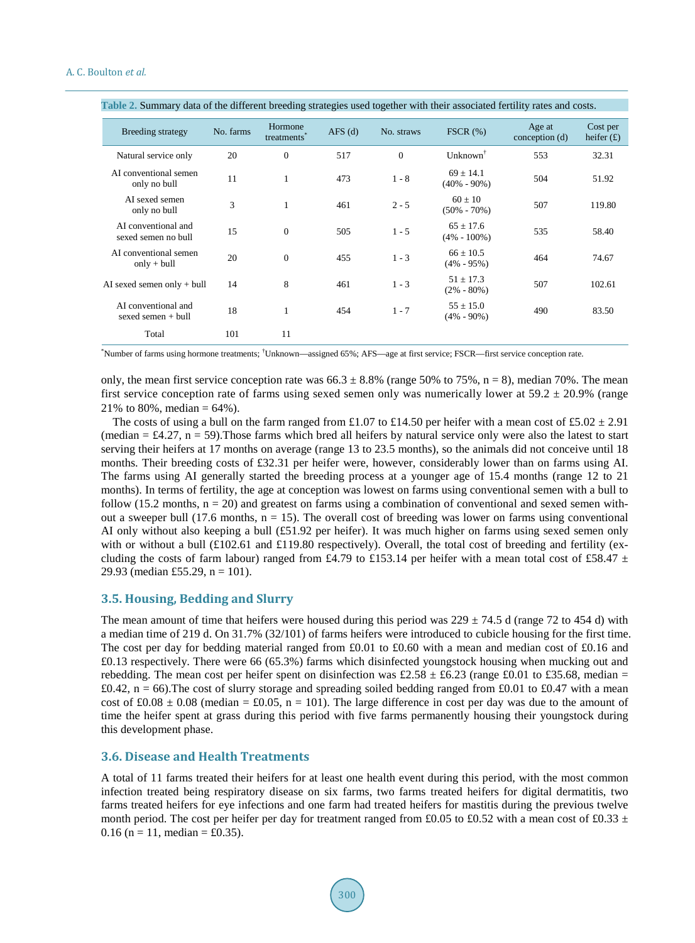| <b>Breeding strategy</b>                    | No. farms | Hormone<br>treatments <sup>®</sup> | $AFS$ (d) | No. straws | FSCR(%)                          | Age at<br>conception (d) | Cost per<br>heifer $(f)$ |
|---------------------------------------------|-----------|------------------------------------|-----------|------------|----------------------------------|--------------------------|--------------------------|
| Natural service only                        | 20        | $\mathbf{0}$                       | 517       | $\theta$   | $Unknown^{\dagger}$              | 553                      | 32.31                    |
| AI conventional semen<br>only no bull       | 11        | $\mathbf{1}$                       | 473       | $1 - 8$    | $69 \pm 14.1$<br>$(40\% - 90\%)$ | 504                      | 51.92                    |
| AI sexed semen<br>only no bull              | 3         | $\mathbf{1}$                       | 461       | $2 - 5$    | $60 + 10$<br>$(50\% - 70\%)$     | 507                      | 119.80                   |
| AI conventional and<br>sexed semen no bull  | 15        | $\theta$                           | 505       | $1 - 5$    | $65 \pm 17.6$<br>$(4\% - 100\%)$ | 535                      | 58.40                    |
| AI conventional semen<br>$only + bull$      | 20        | $\mathbf{0}$                       | 455       | $1 - 3$    | $66 \pm 10.5$<br>$(4\% - 95\%)$  | 464                      | 74.67                    |
| AI sexed semen only $+$ bull                | 14        | 8                                  | 461       | $1 - 3$    | $51 \pm 17.3$<br>$(2\% - 80\%)$  | 507                      | 102.61                   |
| AI conventional and<br>sexed semen $+$ bull | 18        | 1                                  | 454       | $1 - 7$    | $55 \pm 15.0$<br>$(4\% - 90\%)$  | 490                      | 83.50                    |
| Total                                       | 101       | 11                                 |           |            |                                  |                          |                          |

<span id="page-6-0"></span>**Table 2.** Summary data of the different breeding strategies used together with their associated fertility rates and costs.

\* Number of farms using hormone treatments; † Unknown—assigned 65%; AFS—age at first service; FSCR—first service conception rate.

only, the mean first service conception rate was  $66.3 \pm 8.8\%$  (range 50% to 75%, n = 8), median 70%. The mean first service conception rate of farms using sexed semen only was numerically lower at  $59.2 \pm 20.9\%$  (range 21% to 80%, median =  $64\%$ ).

The costs of using a bull on the farm ranged from £1.07 to £14.50 per heifer with a mean cost of £5.02  $\pm$  2.91 (median  $= \text{\pounds}4.27$ ,  $n = 59$ ). Those farms which bred all heifers by natural service only were also the latest to start serving their heifers at 17 months on average (range 13 to 23.5 months), so the animals did not conceive until 18 months. Their breeding costs of £32.31 per heifer were, however, considerably lower than on farms using AI. The farms using AI generally started the breeding process at a younger age of 15.4 months (range 12 to 21 months). In terms of fertility, the age at conception was lowest on farms using conventional semen with a bull to follow (15.2 months,  $n = 20$ ) and greatest on farms using a combination of conventional and sexed semen without a sweeper bull (17.6 months,  $n = 15$ ). The overall cost of breeding was lower on farms using conventional AI only without also keeping a bull (£51.92 per heifer). It was much higher on farms using sexed semen only with or without a bull (£102.61 and £119.80 respectively). Overall, the total cost of breeding and fertility (excluding the costs of farm labour) ranged from £4.79 to £153.14 per heifer with a mean total cost of £58.47  $\pm$ 29.93 (median £55.29,  $n = 101$ ).

#### **3.5. Housing, Bedding and Slurry**

The mean amount of time that heifers were housed during this period was  $229 \pm 74.5$  d (range 72 to 454 d) with a median time of 219 d. On 31.7% (32/101) of farms heifers were introduced to cubicle housing for the first time. The cost per day for bedding material ranged from £0.01 to £0.60 with a mean and median cost of £0.16 and £0.13 respectively. There were 66 (65.3%) farms which disinfected youngstock housing when mucking out and rebedding. The mean cost per heifer spent on disinfection was £2.58  $\pm$  £6.23 (range £0.01 to £35.68, median = £0.42,  $n = 66$ ). The cost of slurry storage and spreading soiled bedding ranged from £0.01 to £0.47 with a mean cost of £0.08  $\pm$  0.08 (median = £0.05, n = 101). The large difference in cost per day was due to the amount of time the heifer spent at grass during this period with five farms permanently housing their youngstock during this development phase.

#### **3.6. Disease and Health Treatments**

A total of 11 farms treated their heifers for at least one health event during this period, with the most common infection treated being respiratory disease on six farms, two farms treated heifers for digital dermatitis, two farms treated heifers for eye infections and one farm had treated heifers for mastitis during the previous twelve month period. The cost per heifer per day for treatment ranged from £0.05 to £0.52 with a mean cost of £0.33  $\pm$ 0.16 (n = 11, median = £0.35).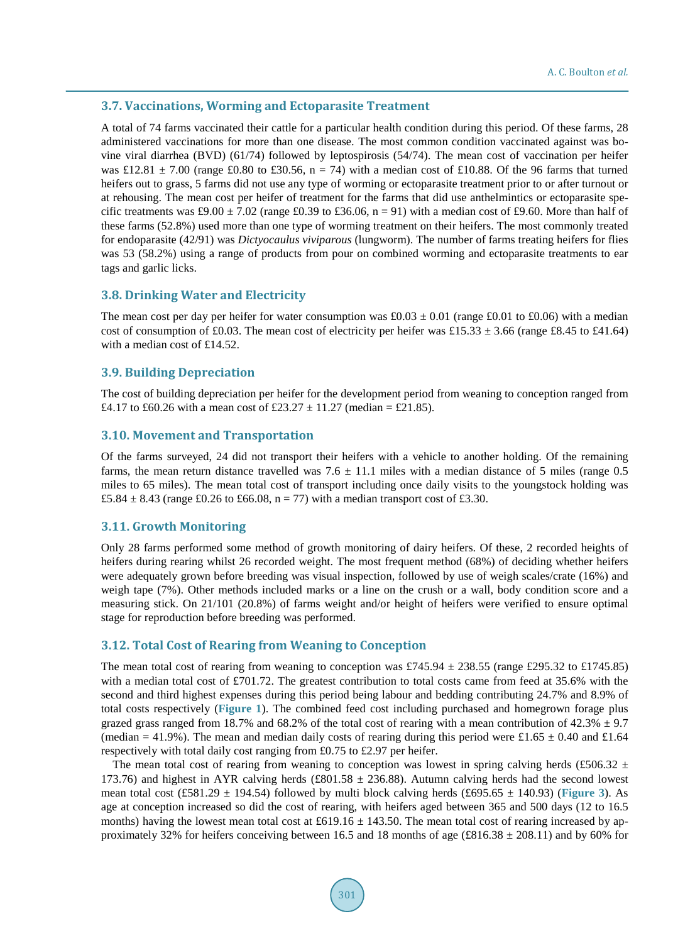#### **3.7. Vaccinations, Worming and Ectoparasite Treatment**

A total of 74 farms vaccinated their cattle for a particular health condition during this period. Of these farms, 28 administered vaccinations for more than one disease. The most common condition vaccinated against was bovine viral diarrhea (BVD) (61/74) followed by leptospirosis (54/74). The mean cost of vaccination per heifer was £12.81  $\pm$  7.00 (range £0.80 to £30.56, n = 74) with a median cost of £10.88. Of the 96 farms that turned heifers out to grass, 5 farms did not use any type of worming or ectoparasite treatment prior to or after turnout or at rehousing. The mean cost per heifer of treatment for the farms that did use anthelmintics or ectoparasite specific treatments was £9.00  $\pm$  7.02 (range £0.39 to £36.06, n = 91) with a median cost of £9.60. More than half of these farms (52.8%) used more than one type of worming treatment on their heifers. The most commonly treated for endoparasite (42/91) was *Dictyocaulus viviparous* (lungworm). The number of farms treating heifers for flies was 53 (58.2%) using a range of products from pour on combined worming and ectoparasite treatments to ear tags and garlic licks.

#### **3.8. Drinking Water and Electricity**

The mean cost per day per heifer for water consumption was  $\text{\pounds}0.03 \pm 0.01$  (range  $\text{\pounds}0.01$  to  $\text{\pounds}0.06$ ) with a median cost of consumption of £0.03. The mean cost of electricity per heifer was £15.33  $\pm$  3.66 (range £8.45 to £41.64) with a median cost of £14.52.

#### **3.9. Building Depreciation**

The cost of building depreciation per heifer for the development period from weaning to conception ranged from £4.17 to £60.26 with a mean cost of £23.27  $\pm$  11.27 (median = £21.85).

#### **3.10. Movement and Transportation**

Of the farms surveyed, 24 did not transport their heifers with a vehicle to another holding. Of the remaining farms, the mean return distance travelled was  $7.6 \pm 11.1$  miles with a median distance of 5 miles (range 0.5) miles to 65 miles). The mean total cost of transport including once daily visits to the youngstock holding was £5.84  $\pm$  8.43 (range £0.26 to £66.08, n = 77) with a median transport cost of £3.30.

#### **3.11. Growth Monitoring**

Only 28 farms performed some method of growth monitoring of dairy heifers. Of these, 2 recorded heights of heifers during rearing whilst 26 recorded weight. The most frequent method (68%) of deciding whether heifers were adequately grown before breeding was visual inspection, followed by use of weigh scales/crate (16%) and weigh tape (7%). Other methods included marks or a line on the crush or a wall, body condition score and a measuring stick. On 21/101 (20.8%) of farms weight and/or height of heifers were verified to ensure optimal stage for reproduction before breeding was performed.

#### **3.12. Total Cost of Rearing from Weaning to Conception**

The mean total cost of rearing from weaning to conception was £745.94  $\pm$  238.55 (range £295.32 to £1745.85) with a median total cost of £701.72. The greatest contribution to total costs came from feed at 35.6% with the second and third highest expenses during this period being labour and bedding contributing 24.7% and 8.9% of total costs respectively (**[Figure 1](#page-4-1)**). The combined feed cost including purchased and homegrown forage plus grazed grass ranged from 18.7% and 68.2% of the total cost of rearing with a mean contribution of  $42.3\% \pm 9.7$ (median = 41.9%). The mean and median daily costs of rearing during this period were £1.65  $\pm$  0.40 and £1.64 respectively with total daily cost ranging from £0.75 to £2.97 per heifer.

The mean total cost of rearing from weaning to conception was lowest in spring calving herds (£506.32  $\pm$ 173.76) and highest in AYR calving herds (£801.58  $\pm$  236.88). Autumn calving herds had the second lowest mean total cost (£581.29  $\pm$  194.54) followed by multi block calving herds (£695.65  $\pm$  140.93) ([Figure 3](#page-8-0)). As age at conception increased so did the cost of rearing, with heifers aged between 365 and 500 days (12 to 16.5 months) having the lowest mean total cost at £619.16  $\pm$  143.50. The mean total cost of rearing increased by approximately 32% for heifers conceiving between 16.5 and 18 months of age (£816.38  $\pm$  208.11) and by 60% for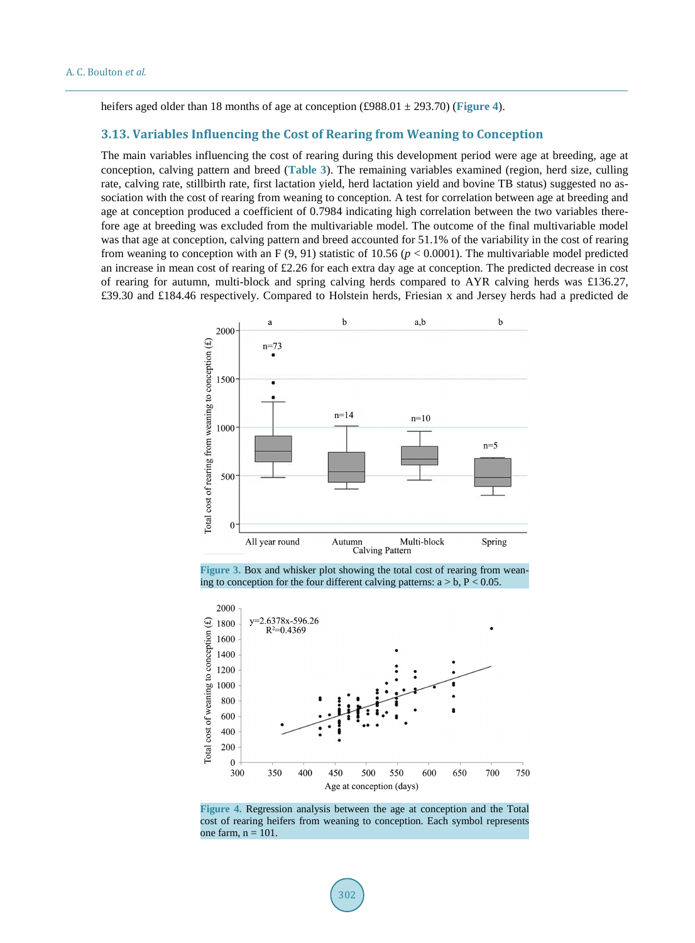heifers aged older than 18 months of age at conception (£988.01 ± 293.70) (**[Figure 4](#page-8-1)**).

#### **3.13. Variables Influencing the Cost of Rearing from Weaning to Conception**

The main variables influencing the cost of rearing during this development period were age at breeding, age at conception, calving pattern and breed (**[Table 3](#page-9-0)**). The remaining variables examined (region, herd size, culling rate, calving rate, stillbirth rate, first lactation yield, herd lactation yield and bovine TB status) suggested no association with the cost of rearing from weaning to conception. A test for correlation between age at breeding and age at conception produced a coefficient of 0.7984 indicating high correlation between the two variables therefore age at breeding was excluded from the multivariable model. The outcome of the final multivariable model was that age at conception, calving pattern and breed accounted for 51.1% of the variability in the cost of rearing from weaning to conception with an F  $(9, 91)$  statistic of 10.56 ( $p < 0.0001$ ). The multivariable model predicted an increase in mean cost of rearing of £2.26 for each extra day age at conception. The predicted decrease in cost of rearing for autumn, multi-block and spring calving herds compared to AYR calving herds was £136.27, £39.30 and £184.46 respectively. Compared to Holstein herds, Friesian x and Jersey herds had a predicted de

<span id="page-8-0"></span>

**Figure 3.** Box and whisker plot showing the total cost of rearing from weaning to conception for the four different calving patterns:  $a > b$ ,  $P < 0.05$ .

<span id="page-8-1"></span>

**Figure 4.** Regression analysis between the age at conception and the Total cost of rearing heifers from weaning to conception. Each symbol represents one farm,  $n = 101$ .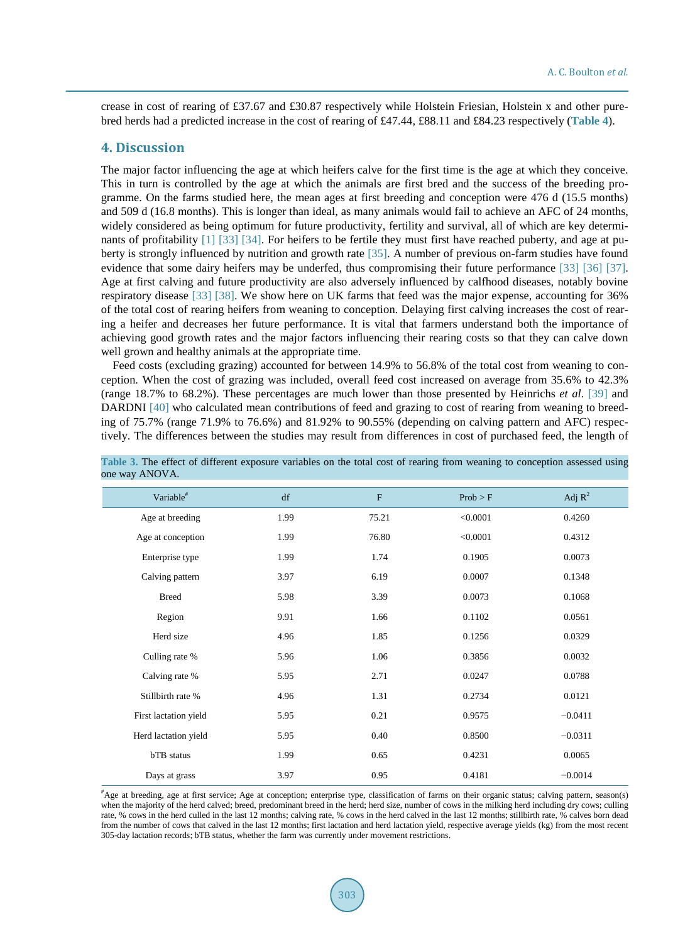crease in cost of rearing of £37.67 and £30.87 respectively while Holstein Friesian, Holstein x and other purebred herds had a predicted increase in the cost of rearing of £47.44, £88.11 and £84.23 respectively (**[Table 4](#page-10-0)**).

#### **4. Discussion**

The major factor influencing the age at which heifers calve for the first time is the age at which they conceive. This in turn is controlled by the age at which the animals are first bred and the success of the breeding programme. On the farms studied here, the mean ages at first breeding and conception were 476 d (15.5 months) and 509 d (16.8 months). This is longer than ideal, as many animals would fail to achieve an AFC of 24 months, widely considered as being optimum for future productivity, fertility and survival, all of which are key determinants of profitability [\[1\]](#page-12-0) [\[33\]](#page-13-12) [\[34\].](#page-13-13) For heifers to be fertile they must first have reached puberty, and age at puberty is strongly influenced by nutrition and growth rate [\[35\].](#page-13-14) A number of previous on-farm studies have found evidence that some dairy heifers may be underfed, thus compromising their future performance [\[33\]](#page-13-12) [\[36\]](#page-13-15) [\[37\].](#page-13-16) Age at first calving and future productivity are also adversely influenced by calfhood diseases, notably bovine respiratory disease [\[33\]](#page-13-12) [\[38\].](#page-13-17) We show here on UK farms that feed was the major expense, accounting for 36% of the total cost of rearing heifers from weaning to conception. Delaying first calving increases the cost of rearing a heifer and decreases her future performance. It is vital that farmers understand both the importance of achieving good growth rates and the major factors influencing their rearing costs so that they can calve down well grown and healthy animals at the appropriate time.

Feed costs (excluding grazing) accounted for between 14.9% to 56.8% of the total cost from weaning to conception. When the cost of grazing was included, overall feed cost increased on average from 35.6% to 42.3% (range 18.7% to 68.2%). These percentages are much lower than those presented by Heinrichs *et al*. [\[39\]](#page-13-18) and DARDNI [\[40\]](#page-13-19) who calculated mean contributions of feed and grazing to cost of rearing from weaning to breeding of 75.7% (range 71.9% to 76.6%) and 81.92% to 90.55% (depending on calving pattern and AFC) respectively. The differences between the studies may result from differences in cost of purchased feed, the length of

| Variable <sup>#</sup> | df   | $\mathbf{F}$ | Prob > F | Adj $R^2$ |
|-----------------------|------|--------------|----------|-----------|
| Age at breeding       | 1.99 | 75.21        | < 0.0001 | 0.4260    |
| Age at conception     | 1.99 | 76.80        | < 0.0001 | 0.4312    |
| Enterprise type       | 1.99 | 1.74         | 0.1905   | 0.0073    |
| Calving pattern       | 3.97 | 6.19         | 0.0007   | 0.1348    |
| <b>Breed</b>          | 5.98 | 3.39         | 0.0073   | 0.1068    |
| Region                | 9.91 | 1.66         | 0.1102   | 0.0561    |
| Herd size             | 4.96 | 1.85         | 0.1256   | 0.0329    |
| Culling rate %        | 5.96 | 1.06         | 0.3856   | 0.0032    |
| Calving rate %        | 5.95 | 2.71         | 0.0247   | 0.0788    |
| Stillbirth rate %     | 4.96 | 1.31         | 0.2734   | 0.0121    |
| First lactation yield | 5.95 | 0.21         | 0.9575   | $-0.0411$ |
| Herd lactation yield  | 5.95 | 0.40         | 0.8500   | $-0.0311$ |
| bTB status            | 1.99 | 0.65         | 0.4231   | 0.0065    |
| Days at grass         | 3.97 | 0.95         | 0.4181   | $-0.0014$ |

<span id="page-9-0"></span>

|                | Table 3. The effect of different exposure variables on the total cost of rearing from weaning to conception assessed using |  |  |  |  |  |  |
|----------------|----------------------------------------------------------------------------------------------------------------------------|--|--|--|--|--|--|
| one way ANOVA. |                                                                                                                            |  |  |  |  |  |  |

# Age at breeding, age at first service; Age at conception; enterprise type, classification of farms on their organic status; calving pattern, season(s) when the majority of the herd calved; breed, predominant breed in the herd; herd size, number of cows in the milking herd including dry cows; culling rate, % cows in the herd culled in the last 12 months; calving rate, % cows in the herd calved in the last 12 months; stillbirth rate, % calves born dead from the number of cows that calved in the last 12 months; first lactation and herd lactation yield, respective average yields (kg) from the most recent 305-day lactation records; bTB status, whether the farm was currently under movement restrictions.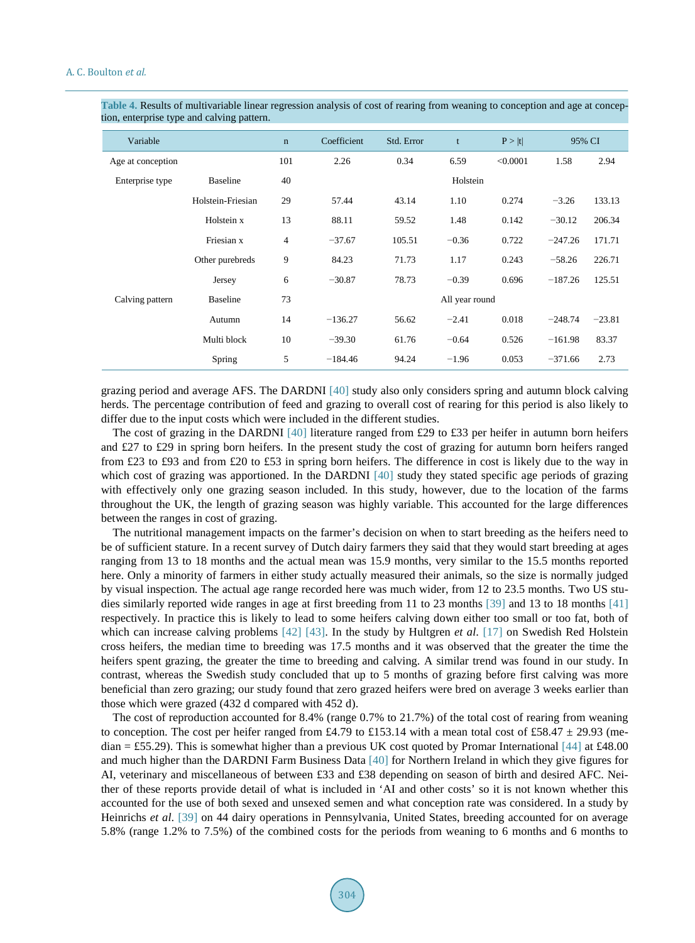| ◞                 | oг                |                |                           |        |                |          |           |          |
|-------------------|-------------------|----------------|---------------------------|--------|----------------|----------|-----------|----------|
| Variable          |                   | $\mathbf n$    | Coefficient<br>Std. Error |        | t              | P >  t   | 95% CI    |          |
| Age at conception |                   | 101            | 2.26                      | 0.34   | 6.59           | < 0.0001 | 1.58      | 2.94     |
| Enterprise type   | <b>Baseline</b>   | 40             |                           |        | Holstein       |          |           |          |
|                   | Holstein-Friesian | 29             | 57.44                     | 43.14  | 1.10           |          | $-3.26$   | 133.13   |
|                   | Holstein x        | 13             | 88.11                     | 59.52  | 1.48           | 0.142    | $-30.12$  | 206.34   |
|                   | Friesian x        | $\overline{4}$ | $-37.67$                  | 105.51 | $-0.36$        | 0.722    | $-247.26$ | 171.71   |
|                   | Other purebreds   | 9              | 84.23                     | 71.73  | 1.17           | 0.243    | $-58.26$  | 226.71   |
|                   | Jersey            | 6              | $-30.87$                  | 78.73  | $-0.39$        | 0.696    | $-187.26$ | 125.51   |
| Calving pattern   | <b>Baseline</b>   | 73             |                           |        | All year round |          |           |          |
|                   | Autumn            | 14             | $-136.27$                 | 56.62  | $-2.41$        | 0.018    | $-248.74$ | $-23.81$ |
|                   | Multi block       | 10             | $-39.30$                  | 61.76  | $-0.64$        | 0.526    | $-161.98$ | 83.37    |
|                   | Spring            | 5              | $-184.46$                 | 94.24  | $-1.96$        | 0.053    | $-371.66$ | 2.73     |

<span id="page-10-0"></span>**Table 4.** Results of multivariable linear regression analysis of cost of rearing from weaning to conception and age at conception, enterprise type and calving pattern.

grazing period and average AFS. The DARDNI [\[40\]](#page-13-19) study also only considers spring and autumn block calving herds. The percentage contribution of feed and grazing to overall cost of rearing for this period is also likely to differ due to the input costs which were included in the different studies.

The cost of grazing in the DARDNI [\[40\]](#page-13-19) literature ranged from £29 to £33 per heifer in autumn born heifers and £27 to £29 in spring born heifers. In the present study the cost of grazing for autumn born heifers ranged from £23 to £93 and from £20 to £53 in spring born heifers. The difference in cost is likely due to the way in which cost of grazing was apportioned. In the DARDNI [\[40\]](#page-13-19) study they stated specific age periods of grazing with effectively only one grazing season included. In this study, however, due to the location of the farms throughout the UK, the length of grazing season was highly variable. This accounted for the large differences between the ranges in cost of grazing.

The nutritional management impacts on the farmer's decision on when to start breeding as the heifers need to be of sufficient stature. In a recent survey of Dutch dairy farmers they said that they would start breeding at ages ranging from 13 to 18 months and the actual mean was 15.9 months, very similar to the 15.5 months reported here. Only a minority of farmers in either study actually measured their animals, so the size is normally judged by visual inspection. The actual age range recorded here was much wider, from 12 to 23.5 months. Two US studies similarly reported wide ranges in age at first breeding from 11 to 23 months [\[39\]](#page-13-18) and 13 to 18 months [\[41\]](#page-13-20) respectively. In practice this is likely to lead to some heifers calving down either too small or too fat, both of which can increase calving problems [\[42\]](#page-14-0) [\[43\].](#page-14-1) In the study by Hultgren *et al*. [\[17\]](#page-12-15) on Swedish Red Holstein cross heifers, the median time to breeding was 17.5 months and it was observed that the greater the time the heifers spent grazing, the greater the time to breeding and calving. A similar trend was found in our study. In contrast, whereas the Swedish study concluded that up to 5 months of grazing before first calving was more beneficial than zero grazing; our study found that zero grazed heifers were bred on average 3 weeks earlier than those which were grazed (432 d compared with 452 d).

The cost of reproduction accounted for 8.4% (range 0.7% to 21.7%) of the total cost of rearing from weaning to conception. The cost per heifer ranged from £4.79 to £153.14 with a mean total cost of £58.47  $\pm$  29.93 (me $d$ dian = £55.29). This is somewhat higher than a previous UK cost quoted by Promar International [\[44\]](#page-14-2) at £48.00 and much higher than the DARDNI Farm Business Data [\[40\]](#page-13-19) for Northern Ireland in which they give figures for AI, veterinary and miscellaneous of between £33 and £38 depending on season of birth and desired AFC. Neither of these reports provide detail of what is included in 'AI and other costs' so it is not known whether this accounted for the use of both sexed and unsexed semen and what conception rate was considered. In a study by Heinrichs *et al*. [\[39\]](#page-13-18) on 44 dairy operations in Pennsylvania, United States, breeding accounted for on average 5.8% (range 1.2% to 7.5%) of the combined costs for the periods from weaning to 6 months and 6 months to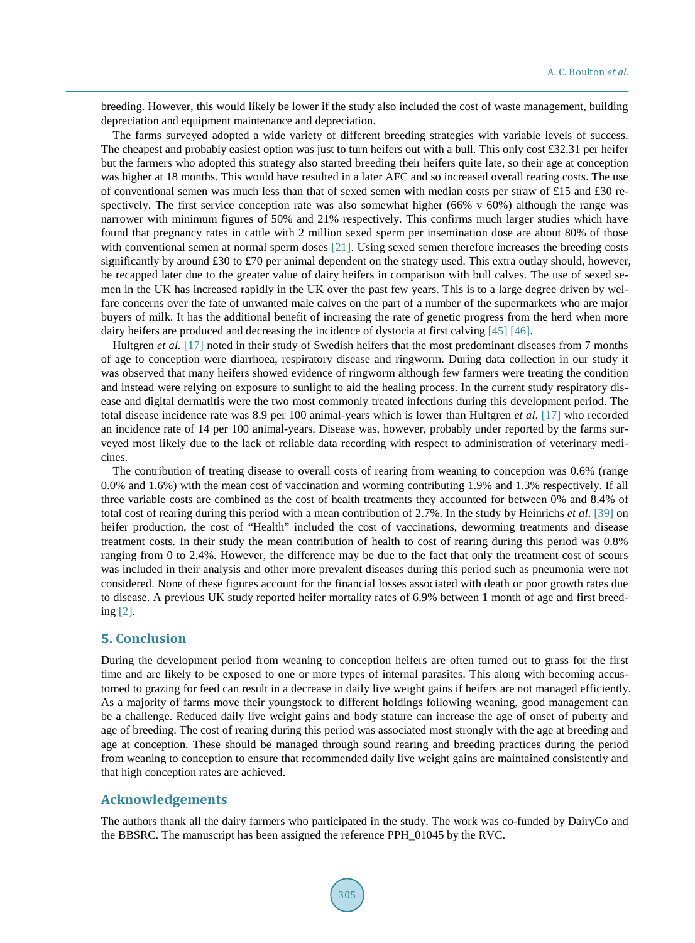breeding. However, this would likely be lower if the study also included the cost of waste management, building depreciation and equipment maintenance and depreciation.

The farms surveyed adopted a wide variety of different breeding strategies with variable levels of success. The cheapest and probably easiest option was just to turn heifers out with a bull. This only cost £32.31 per heifer but the farmers who adopted this strategy also started breeding their heifers quite late, so their age at conception was higher at 18 months. This would have resulted in a later AFC and so increased overall rearing costs. The use of conventional semen was much less than that of sexed semen with median costs per straw of £15 and £30 respectively. The first service conception rate was also somewhat higher (66% v 60%) although the range was narrower with minimum figures of 50% and 21% respectively. This confirms much larger studies which have found that pregnancy rates in cattle with 2 million sexed sperm per insemination dose are about 80% of those with conventional semen at normal sperm doses [\[21\].](#page-13-0) Using sexed semen therefore increases the breeding costs significantly by around £30 to £70 per animal dependent on the strategy used. This extra outlay should, however, be recapped later due to the greater value of dairy heifers in comparison with bull calves. The use of sexed semen in the UK has increased rapidly in the UK over the past few years. This is to a large degree driven by welfare concerns over the fate of unwanted male calves on the part of a number of the supermarkets who are major buyers of milk. It has the additional benefit of increasing the rate of genetic progress from the herd when more dairy heifers are produced and decreasing the incidence of dystocia at first calving [\[45\]](#page-14-3) [\[46\].](#page-14-4)

Hultgren *et al.* [\[17\]](#page-12-15) noted in their study of Swedish heifers that the most predominant diseases from 7 months of age to conception were diarrhoea, respiratory disease and ringworm. During data collection in our study it was observed that many heifers showed evidence of ringworm although few farmers were treating the condition and instead were relying on exposure to sunlight to aid the healing process. In the current study respiratory disease and digital dermatitis were the two most commonly treated infections during this development period. The total disease incidence rate was 8.9 per 100 animal-years which is lower than Hultgren *et al*. [\[17\]](#page-12-15) who recorded an incidence rate of 14 per 100 animal-years. Disease was, however, probably under reported by the farms surveyed most likely due to the lack of reliable data recording with respect to administration of veterinary medicines.

The contribution of treating disease to overall costs of rearing from weaning to conception was 0.6% (range 0.0% and 1.6%) with the mean cost of vaccination and worming contributing 1.9% and 1.3% respectively. If all three variable costs are combined as the cost of health treatments they accounted for between 0% and 8.4% of total cost of rearing during this period with a mean contribution of 2.7%. In the study by Heinrichs *et al*. [\[39\]](#page-13-18) on heifer production, the cost of "Health" included the cost of vaccinations, deworming treatments and disease treatment costs. In their study the mean contribution of health to cost of rearing during this period was 0.8% ranging from 0 to 2.4%. However, the difference may be due to the fact that only the treatment cost of scours was included in their analysis and other more prevalent diseases during this period such as pneumonia were not considered. None of these figures account for the financial losses associated with death or poor growth rates due to disease. A previous UK study reported heifer mortality rates of 6.9% between 1 month of age and first breeding [\[2\].](#page-12-1)

### **5. Conclusion**

During the development period from weaning to conception heifers are often turned out to grass for the first time and are likely to be exposed to one or more types of internal parasites. This along with becoming accustomed to grazing for feed can result in a decrease in daily live weight gains if heifers are not managed efficiently. As a majority of farms move their youngstock to different holdings following weaning, good management can be a challenge. Reduced daily live weight gains and body stature can increase the age of onset of puberty and age of breeding. The cost of rearing during this period was associated most strongly with the age at breeding and age at conception. These should be managed through sound rearing and breeding practices during the period from weaning to conception to ensure that recommended daily live weight gains are maintained consistently and that high conception rates are achieved.

## **Acknowledgements**

The authors thank all the dairy farmers who participated in the study. The work was co-funded by DairyCo and the BBSRC. The manuscript has been assigned the reference PPH\_01045 by the RVC.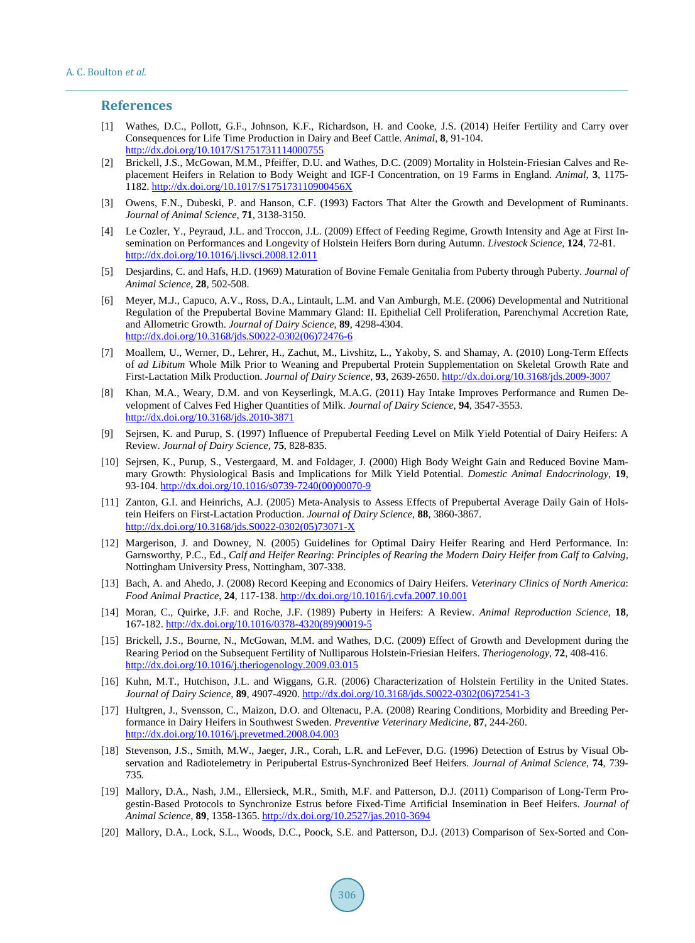#### **References**

- <span id="page-12-0"></span>[1] Wathes, D.C., Pollott, G.F., Johnson, K.F., Richardson, H. and Cooke, J.S. (2014) Heifer Fertility and Carry over Consequences for Life Time Production in Dairy and Beef Cattle. *Animal*, **8**, 91-104. <http://dx.doi.org/10.1017/S1751731114000755>
- <span id="page-12-1"></span>[2] Brickell, J.S., McGowan, M.M., Pfeiffer, D.U. and Wathes, D.C. (2009) Mortality in Holstein-Friesian Calves and Replacement Heifers in Relation to Body Weight and IGF-I Concentration, on 19 Farms in England. *Animal*, **3**, 1175- 1182. <http://dx.doi.org/10.1017/S175173110900456X>
- <span id="page-12-2"></span>[3] Owens, F.N., Dubeski, P. and Hanson, C.F. (1993) Factors That Alter the Growth and Development of Ruminants. *Journal of Animal Science*, **71**, 3138-3150.
- <span id="page-12-3"></span>[4] Le Cozler, Y., Peyraud, J.L. and Troccon, J.L. (2009) Effect of Feeding Regime, Growth Intensity and Age at First Insemination on Performances and Longevity of Holstein Heifers Born during Autumn. *Livestock Science*, **124**, 72-81. <http://dx.doi.org/10.1016/j.livsci.2008.12.011>
- <span id="page-12-4"></span>[5] Desjardins, C. and Hafs, H.D. (1969) Maturation of Bovine Female Genitalia from Puberty through Puberty. *Journal of Animal Science*, **28**, 502-508.
- <span id="page-12-5"></span>[6] Meyer, M.J., Capuco, A.V., Ross, D.A., Lintault, L.M. and Van Amburgh, M.E. (2006) Developmental and Nutritional Regulation of the Prepubertal Bovine Mammary Gland: II. Epithelial Cell Proliferation, Parenchymal Accretion Rate, and Allometric Growth. *Journal of Dairy Science*, **89**, 4298-4304. [http://dx.doi.org/10.3168/jds.S0022-0302\(06\)72476-6](http://dx.doi.org/10.3168/jds.S0022-0302(06)72476-6)
- [7] Moallem, U., Werner, D., Lehrer, H., Zachut, M., Livshitz, L., Yakoby, S. and Shamay, A. (2010) Long-Term Effects of *ad Libitum* Whole Milk Prior to Weaning and Prepubertal Protein Supplementation on Skeletal Growth Rate and First-Lactation Milk Production. *Journal of Dairy Science*, **93**, 2639-2650. <http://dx.doi.org/10.3168/jds.2009-3007>
- <span id="page-12-6"></span>[8] Khan, M.A., Weary, D.M. and von Keyserlingk, M.A.G. (2011) Hay Intake Improves Performance and Rumen Development of Calves Fed Higher Quantities of Milk. *Journal of Dairy Science*, **94**, 3547-3553. <http://dx.doi.org/10.3168/jds.2010-3871>
- <span id="page-12-7"></span>[9] Sejrsen, K. and Purup, S. (1997) Influence of Prepubertal Feeding Level on Milk Yield Potential of Dairy Heifers: A Review. *Journal of Dairy Science*, **75**, 828-835.
- <span id="page-12-8"></span>[10] Sejrsen, K., Purup, S., Vestergaard, M. and Foldager, J. (2000) High Body Weight Gain and Reduced Bovine Mammary Growth: Physiological Basis and Implications for Milk Yield Potential. *Domestic Animal Endocrinology*, **19**, 93-104. [http://dx.doi.org/10.1016/s0739-7240\(00\)00070-9](http://dx.doi.org/10.1016/s0739-7240(00)00070-9)
- <span id="page-12-9"></span>[11] Zanton, G.I. and Heinrichs, A.J. (2005) Meta-Analysis to Assess Effects of Prepubertal Average Daily Gain of Holstein Heifers on First-Lactation Production. *Journal of Dairy Science*, **88**, 3860-3867. [http://dx.doi.org/10.3168/jds.S0022-0302\(05\)73071-X](http://dx.doi.org/10.3168/jds.S0022-0302(05)73071-X)
- <span id="page-12-10"></span>[12] Margerison, J. and Downey, N. (2005) Guidelines for Optimal Dairy Heifer Rearing and Herd Performance. In: Garnsworthy, P.C., Ed., *Calf and Heifer Rearing*: *Principles of Rearing the Modern Dairy Heifer from Calf to Calving*, Nottingham University Press, Nottingham, 307-338.
- <span id="page-12-11"></span>[13] Bach, A. and Ahedo, J. (2008) Record Keeping and Economics of Dairy Heifers. *Veterinary Clinics of North America*: *Food Animal Practice*, **24**, 117-138. <http://dx.doi.org/10.1016/j.cvfa.2007.10.001>
- <span id="page-12-12"></span>[14] Moran, C., Quirke, J.F. and Roche, J.F. (1989) Puberty in Heifers: A Review. *Animal Reproduction Science*, **18**, 167-182. [http://dx.doi.org/10.1016/0378-4320\(89\)90019-5](http://dx.doi.org/10.1016/0378-4320(89)90019-5)
- <span id="page-12-13"></span>[15] Brickell, J.S., Bourne, N., McGowan, M.M. and Wathes, D.C. (2009) Effect of Growth and Development during the Rearing Period on the Subsequent Fertility of Nulliparous Holstein-Friesian Heifers. *Theriogenology*, **72**, 408-416. <http://dx.doi.org/10.1016/j.theriogenology.2009.03.015>
- <span id="page-12-14"></span>[16] Kuhn, M.T., Hutchison, J.L. and Wiggans, G.R. (2006) Characterization of Holstein Fertility in the United States. *Journal of Dairy Science*, **89**, 4907-4920. [http://dx.doi.org/10.3168/jds.S0022-0302\(06\)72541-3](http://dx.doi.org/10.3168/jds.S0022-0302(06)72541-3)
- <span id="page-12-15"></span>[17] Hultgren, J., Svensson, C., Maizon, D.O. and Oltenacu, P.A. (2008) Rearing Conditions, Morbidity and Breeding Performance in Dairy Heifers in Southwest Sweden. *Preventive Veterinary Medicine*, **87**, 244-260. <http://dx.doi.org/10.1016/j.prevetmed.2008.04.003>
- <span id="page-12-16"></span>[18] Stevenson, J.S., Smith, M.W., Jaeger, J.R., Corah, L.R. and LeFever, D.G. (1996) Detection of Estrus by Visual Observation and Radiotelemetry in Peripubertal Estrus-Synchronized Beef Heifers. *Journal of Animal Science*, **74**, 739- 735.
- [19] Mallory, D.A., Nash, J.M., Ellersieck, M.R., Smith, M.F. and Patterson, D.J. (2011) Comparison of Long-Term Progestin-Based Protocols to Synchronize Estrus before Fixed-Time Artificial Insemination in Beef Heifers. *Journal of Animal Science*, **89**, 1358-1365. <http://dx.doi.org/10.2527/jas.2010-3694>
- <span id="page-12-17"></span>[20] Mallory, D.A., Lock, S.L., Woods, D.C., Poock, S.E. and Patterson, D.J. (2013) Comparison of Sex-Sorted and Con-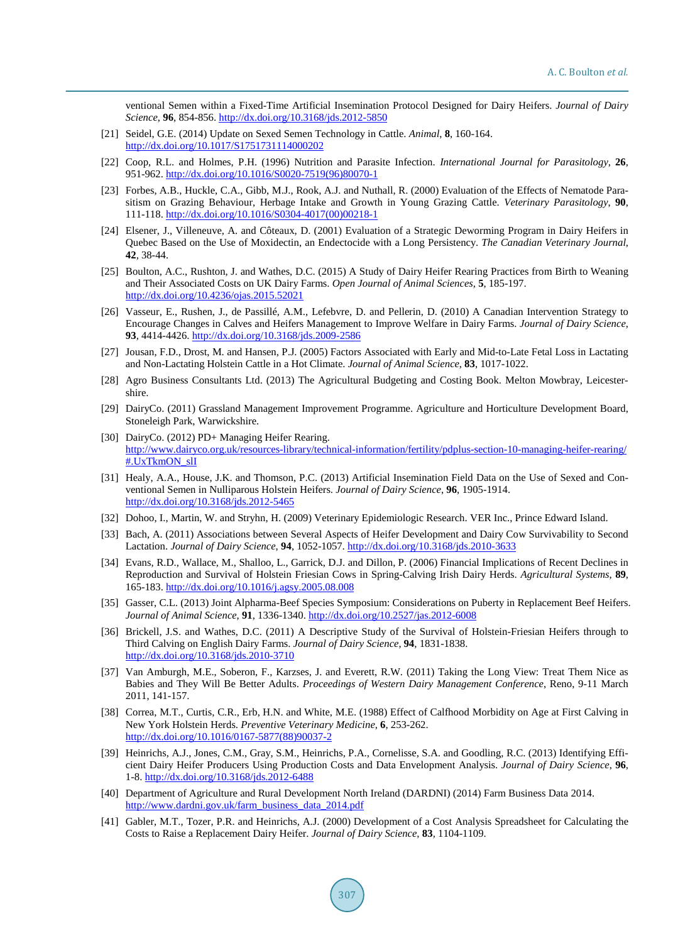ventional Semen within a Fixed-Time Artificial Insemination Protocol Designed for Dairy Heifers. *Journal of Dairy Science*, **96**, 854-856. <http://dx.doi.org/10.3168/jds.2012-5850>

- <span id="page-13-0"></span>[21] Seidel, G.E. (2014) Update on Sexed Semen Technology in Cattle. *Animal*, **8**, 160-164. <http://dx.doi.org/10.1017/S1751731114000202>
- <span id="page-13-1"></span>[22] Coop, R.L. and Holmes, P.H. (1996) Nutrition and Parasite Infection. *International Journal for Parasitology*, **26**, 951-962. [http://dx.doi.org/10.1016/S0020-7519\(96\)80070-1](http://dx.doi.org/10.1016/S0020-7519(96)80070-1)
- <span id="page-13-2"></span>[23] Forbes, A.B., Huckle, C.A., Gibb, M.J., Rook, A.J. and Nuthall, R. (2000) Evaluation of the Effects of Nematode Parasitism on Grazing Behaviour, Herbage Intake and Growth in Young Grazing Cattle. *Veterinary Parasitology*, **90**, 111-118. [http://dx.doi.org/10.1016/S0304-4017\(00\)00218-1](http://dx.doi.org/10.1016/S0304-4017(00)00218-1)
- <span id="page-13-3"></span>[24] Elsener, J., Villeneuve, A. and Côteaux, D. (2001) Evaluation of a Strategic Deworming Program in Dairy Heifers in Quebec Based on the Use of Moxidectin, an Endectocide with a Long Persistency. *The Canadian Veterinary Journal*, **42**, 38-44.
- <span id="page-13-4"></span>[25] Boulton, A.C., Rushton, J. and Wathes, D.C. (2015) A Study of Dairy Heifer Rearing Practices from Birth to Weaning and Their Associated Costs on UK Dairy Farms. *Open Journal of Animal Sciences*, **5**, 185-197. <http://dx.doi.org/10.4236/ojas.2015.52021>
- <span id="page-13-5"></span>[26] Vasseur, E., Rushen, J., de Passillé, A.M., Lefebvre, D. and Pellerin, D. (2010) A Canadian Intervention Strategy to Encourage Changes in Calves and Heifers Management to Improve Welfare in Dairy Farms. *Journal of Dairy Science*, **93**, 4414-4426. <http://dx.doi.org/10.3168/jds.2009-2586>
- <span id="page-13-6"></span>[27] Jousan, F.D., Drost, M. and Hansen, P.J. (2005) Factors Associated with Early and Mid-to-Late Fetal Loss in Lactating and Non-Lactating Holstein Cattle in a Hot Climate. *Journal of Animal Science*, **83**, 1017-1022.
- <span id="page-13-7"></span>[28] Agro Business Consultants Ltd. (2013) The Agricultural Budgeting and Costing Book. Melton Mowbray, Leicestershire.
- <span id="page-13-8"></span>[29] DairyCo. (2011) Grassland Management Improvement Programme. Agriculture and Horticulture Development Board, Stoneleigh Park, Warwickshire.
- <span id="page-13-9"></span>[30] DairyCo. (2012) PD+ Managing Heifer Rearing. [http://www.dairyco.org.uk/resources-library/technical-information/fertility/pdplus-section-10-managing-heifer-rearing/](http://www.dairyco.org.uk/resources-library/technical-information/fertility/pdplus-section-10-managing-heifer-rearing/%23.UxTkmON_slI) [#.UxTkmON\\_slI](http://www.dairyco.org.uk/resources-library/technical-information/fertility/pdplus-section-10-managing-heifer-rearing/%23.UxTkmON_slI)
- <span id="page-13-10"></span>[31] Healy, A.A., House, J.K. and Thomson, P.C. (2013) Artificial Insemination Field Data on the Use of Sexed and Conventional Semen in Nulliparous Holstein Heifers. *Journal of Dairy Science*, **96**, 1905-1914. <http://dx.doi.org/10.3168/jds.2012-5465>
- <span id="page-13-11"></span>[32] Dohoo, I., Martin, W. and Stryhn, H. (2009) Veterinary Epidemiologic Research. VER Inc., Prince Edward Island.
- <span id="page-13-12"></span>[33] Bach, A. (2011) Associations between Several Aspects of Heifer Development and Dairy Cow Survivability to Second Lactation. *Journal of Dairy Science*, **94**, 1052-1057. <http://dx.doi.org/10.3168/jds.2010-3633>
- <span id="page-13-13"></span>[34] Evans, R.D., Wallace, M., Shalloo, L., Garrick, D.J. and Dillon, P. (2006) Financial Implications of Recent Declines in Reproduction and Survival of Holstein Friesian Cows in Spring-Calving Irish Dairy Herds. *Agricultural Systems*, **89**, 165-183[. http://dx.doi.org/10.1016/j.agsy.2005.08.008](http://dx.doi.org/10.1016/j.agsy.2005.08.008)
- <span id="page-13-14"></span>[35] Gasser, C.L. (2013) Joint Alpharma-Beef Species Symposium: Considerations on Puberty in Replacement Beef Heifers. *Journal of Animal Science*, **91**, 1336-1340[. http://dx.doi.org/10.2527/jas.2012-6008](http://dx.doi.org/10.2527/jas.2012-6008)
- <span id="page-13-15"></span>[36] Brickell, J.S. and Wathes, D.C. (2011) A Descriptive Study of the Survival of Holstein-Friesian Heifers through to Third Calving on English Dairy Farms. *Journal of Dairy Science*, **94**, 1831-1838. <http://dx.doi.org/10.3168/jds.2010-3710>
- <span id="page-13-16"></span>[37] Van Amburgh, M.E., Soberon, F., Karzses, J. and Everett, R.W. (2011) Taking the Long View: Treat Them Nice as Babies and They Will Be Better Adults. *Proceedings of Western Dairy Management Conference*, Reno, 9-11 March 2011, 141-157.
- <span id="page-13-17"></span>[38] Correa, M.T., Curtis, C.R., Erb, H.N. and White, M.E. (1988) Effect of Calfhood Morbidity on Age at First Calving in New York Holstein Herds. *Preventive Veterinary Medicine*, **6**, 253-262. [http://dx.doi.org/10.1016/0167-5877\(88\)90037-2](http://dx.doi.org/10.1016/0167-5877(88)90037-2)
- <span id="page-13-18"></span>[39] Heinrichs, A.J., Jones, C.M., Gray, S.M., Heinrichs, P.A., Cornelisse, S.A. and Goodling, R.C. (2013) Identifying Efficient Dairy Heifer Producers Using Production Costs and Data Envelopment Analysis. *Journal of Dairy Science*, **96**, 1-8. <http://dx.doi.org/10.3168/jds.2012-6488>
- <span id="page-13-19"></span>[40] Department of Agriculture and Rural Development North Ireland (DARDNI) (2014) Farm Business Data 2014. [http://www.dardni.gov.uk/farm\\_business\\_data\\_2014.pdf](http://www.dardni.gov.uk/farm_business_data_2014.pdf)
- <span id="page-13-20"></span>[41] Gabler, M.T., Tozer, P.R. and Heinrichs, A.J. (2000) Development of a Cost Analysis Spreadsheet for Calculating the Costs to Raise a Replacement Dairy Heifer. *Journal of Dairy Science*, **83**, 1104-1109.